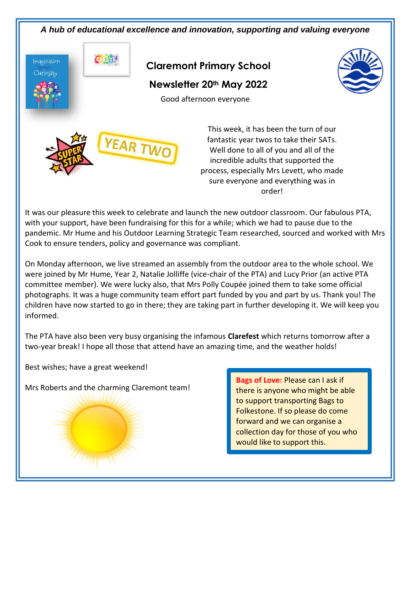

It was our pleasure this week to celebrate and launch the new outdoor classroom. Our fabulous PTA, with your support, have been fundraising for this for a while; which we had to pause due to the pandemic. Mr Hume and his Outdoor Learning Strategic Team researched, sourced and worked with Mrs Cook to ensure tenders, policy and governance was compliant.

On Monday afternoon, we live streamed an assembly from the outdoor area to the whole school. We were joined by Mr Hume, Year 2, Natalie Jolliffe (vice-chair of the PTA) and Lucy Prior (an active PTA committee member). We were lucky also, that Mrs Polly Coupée joined them to take some official photographs. It was a huge community team effort part funded by you and part by us. Thank you! The children have now started to go in there; they are taking part in further developing it. We will keep you informed.

The PTA have also been very busy organising the infamous **Clarefest** which returns tomorrow after a two-year break! I hope all those that attend have an amazing time, and the weather holds!

Best wishes; have a great weekend!

Mrs Roberts and the charming Claremont team!

**Bags of Love:** Please can I ask if there is anyone who might be able to support transporting Bags to Folkestone. If so please do come forward and we can organise a collection day for those of you who would like to support this.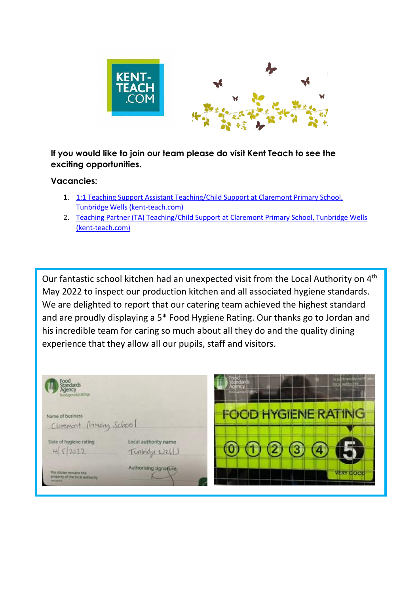

## **If you would like to join our team please do visit Kent Teach to see the exciting opportunities.**

## **Vacancies:**

- 1. 1:1 Teaching Support Assistant Teaching/Child Support at Claremont Primary School, [Tunbridge Wells \(kent-teach.com\)](https://www.kent-teach.com/Recruitment/Vacancy/VacancyDetails.aspx?VacancyId=100991)
- 2. [Teaching Partner \(TA\) Teaching/Child Support at Claremont Primary School, Tunbridge Wells](https://www.kent-teach.com/Recruitment/Vacancy/VacancyDetails.aspx?VacancyId=100922)  [\(kent-teach.com\)](https://www.kent-teach.com/Recruitment/Vacancy/VacancyDetails.aspx?VacancyId=100922)

Our fantastic school kitchen had an unexpected visit from the Local Authority on 4<sup>th</sup> May 2022 to inspect our production kitchen and all associated hygiene standards. We are delighted to report that our catering team achieved the highest standard and are proudly displaying a 5\* Food Hygiene Rating. Our thanks go to Jordan and his incredible team for caring so much about all they do and the quality dining experience that they allow all our pupils, staff and visitors.

| food gov.uk/ratings                                                                        |                                      | in partners by with<br>authority<br><b>loca</b><br>more procedurably |
|--------------------------------------------------------------------------------------------|--------------------------------------|----------------------------------------------------------------------|
| Name of business<br>Cloment Pineng School                                                  |                                      | <b>FOOD HYGIENE RATING</b>                                           |
| Date of hygiene rating<br>45/2022                                                          | Local authority name<br>Tinbidy Nell |                                                                      |
| This sticker remains the<br>property of the local authority.<br><b>Car A Guida Alcohol</b> | Authorising signature.               | <b>TERY COOL</b>                                                     |